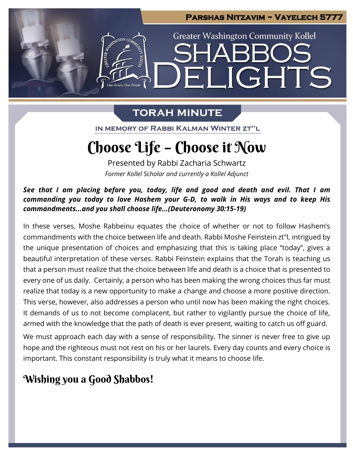

### **TORAH MINUTE**

IN MEMORY OF RABBI KALMAN WINTER ZT"L

# Choose Life – Choose it Now

Presented by Rabbi Zacharia Schwartz *Former Kollel Scholar and currently a Kollel Adjunct*

*See that I am placing before you, today, life and good and death and evil. That I am commanding you today to love Hashem your G-D, to walk in His ways and to keep His commandments...and you shall choose life...(Deuteronomy 30:15-19)*

In these verses, Moshe Rabbeinu equates the choice of whether or not to follow Hashem's commandments with the choice between life and death. Rabbi Moshe Feinstein zt"l, intrigued by the unique presentation of choices and emphasizing that this is taking place "today", gives a beautiful interpretation of these verses. Rabbi Feinstein explains that the Torah is teaching us that a person must realize that the choice between life and death is a choice that is presented to every one of us daily. Certainly, a person who has been making the wrong choices thus far must realize that today is a new opportunity to make a change and choose a more positive direction. This verse, however, also addresses a person who until now has been making the right choices. It demands of us to not become complacent, but rather to vigilantly pursue the choice of life, armed with the knowledge that the path of death is ever present, waiting to catch us off guard.

We must approach each day with a sense of responsibility. The sinner is never free to give up hope and the righteous must not rest on his or her laurels. Every day counts and every choice is important. This constant responsibility is truly what it means to choose life.

### Wishing you a Good Shabbos!